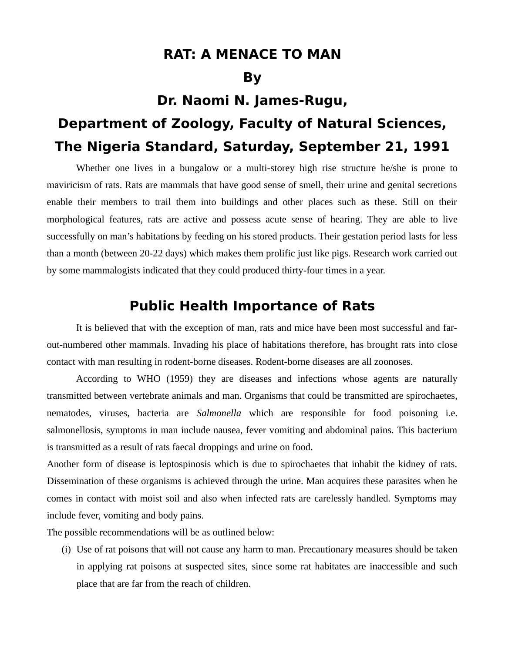### **RAT: A MENACE TO MAN**

### **By**

## **Dr. Naomi N. James-Rugu,**

# **Department of Zoology, Faculty of Natural Sciences, The Nigeria Standard, Saturday, September 21, 1991**

Whether one lives in a bungalow or a multi-storey high rise structure he/she is prone to maviricism of rats. Rats are mammals that have good sense of smell, their urine and genital secretions enable their members to trail them into buildings and other places such as these. Still on their morphological features, rats are active and possess acute sense of hearing. They are able to live successfully on man's habitations by feeding on his stored products. Their gestation period lasts for less than a month (between 20-22 days) which makes them prolific just like pigs. Research work carried out by some mammalogists indicated that they could produced thirty-four times in a year.

#### **Public Health Importance of Rats**

It is believed that with the exception of man, rats and mice have been most successful and farout-numbered other mammals. Invading his place of habitations therefore, has brought rats into close contact with man resulting in rodent-borne diseases. Rodent-borne diseases are all zoonoses.

According to WHO (1959) they are diseases and infections whose agents are naturally transmitted between vertebrate animals and man. Organisms that could be transmitted are spirochaetes, nematodes, viruses, bacteria are *Salmonella* which are responsible for food poisoning i.e. salmonellosis, symptoms in man include nausea, fever vomiting and abdominal pains. This bacterium is transmitted as a result of rats faecal droppings and urine on food.

Another form of disease is leptospinosis which is due to spirochaetes that inhabit the kidney of rats. Dissemination of these organisms is achieved through the urine. Man acquires these parasites when he comes in contact with moist soil and also when infected rats are carelessly handled. Symptoms may include fever, vomiting and body pains.

The possible recommendations will be as outlined below:

(i) Use of rat poisons that will not cause any harm to man. Precautionary measures should be taken in applying rat poisons at suspected sites, since some rat habitates are inaccessible and such place that are far from the reach of children.